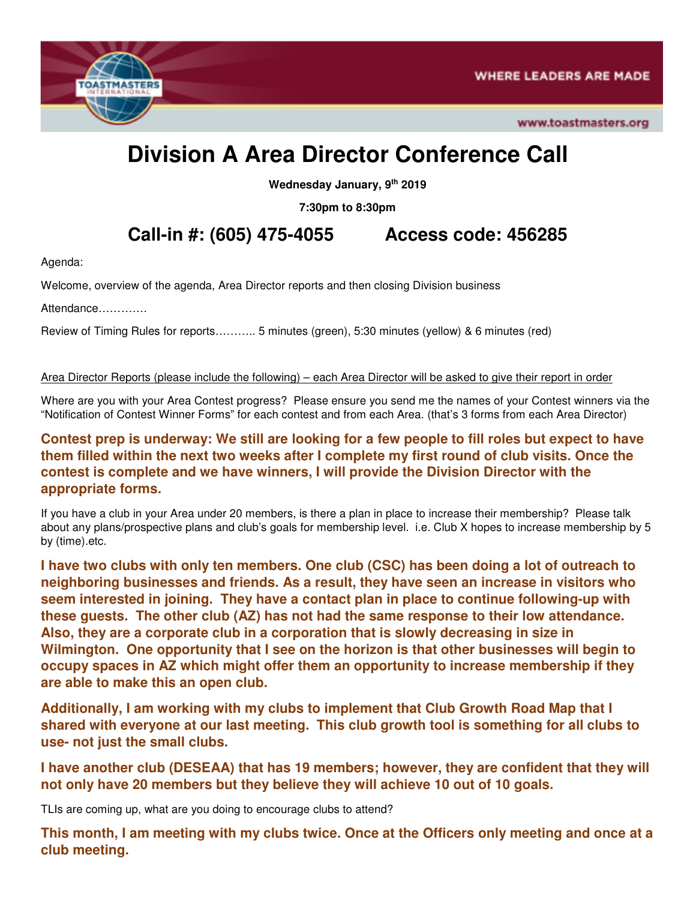

www.toastmasters.org

# **Division A Area Director Conference Call**

**Wednesday January, 9th 2019** 

**7:30pm to 8:30pm** 

**Call-in #: (605) 475-4055 Access code: 456285** 

Agenda:

Welcome, overview of the agenda, Area Director reports and then closing Division business

Attendance………….

Review of Timing Rules for reports……….. 5 minutes (green), 5:30 minutes (yellow) & 6 minutes (red)

Area Director Reports (please include the following) – each Area Director will be asked to give their report in order

Where are you with your Area Contest progress? Please ensure you send me the names of your Contest winners via the "Notification of Contest Winner Forms" for each contest and from each Area. (that's 3 forms from each Area Director)

## **Contest prep is underway: We still are looking for a few people to fill roles but expect to have them filled within the next two weeks after I complete my first round of club visits. Once the contest is complete and we have winners, I will provide the Division Director with the appropriate forms.**

If you have a club in your Area under 20 members, is there a plan in place to increase their membership? Please talk about any plans/prospective plans and club's goals for membership level. i.e. Club X hopes to increase membership by 5 by (time).etc.

**I have two clubs with only ten members. One club (CSC) has been doing a lot of outreach to neighboring businesses and friends. As a result, they have seen an increase in visitors who seem interested in joining. They have a contact plan in place to continue following-up with these guests. The other club (AZ) has not had the same response to their low attendance. Also, they are a corporate club in a corporation that is slowly decreasing in size in Wilmington. One opportunity that I see on the horizon is that other businesses will begin to occupy spaces in AZ which might offer them an opportunity to increase membership if they are able to make this an open club.** 

**Additionally, I am working with my clubs to implement that Club Growth Road Map that I shared with everyone at our last meeting. This club growth tool is something for all clubs to use- not just the small clubs.** 

**I have another club (DESEAA) that has 19 members; however, they are confident that they will not only have 20 members but they believe they will achieve 10 out of 10 goals.** 

TLIs are coming up, what are you doing to encourage clubs to attend?

**This month, I am meeting with my clubs twice. Once at the Officers only meeting and once at a club meeting.**